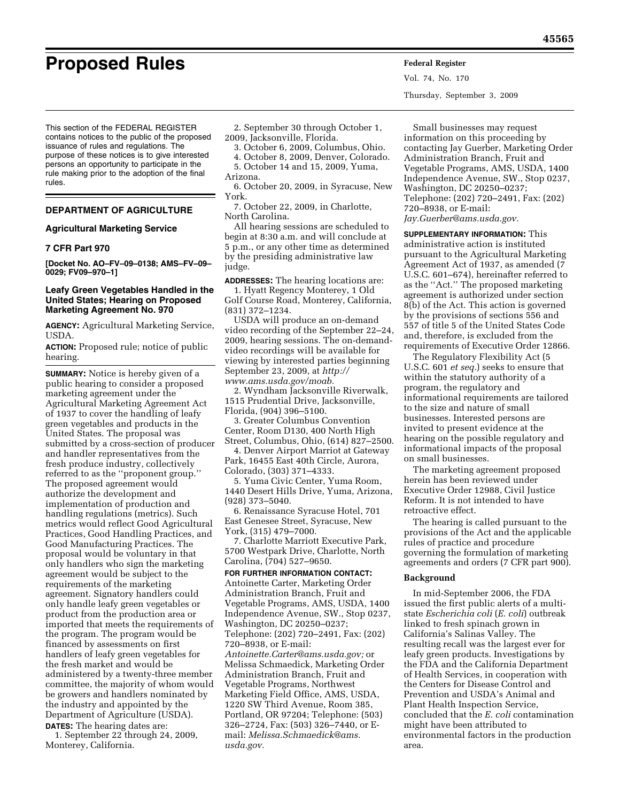This section of the FEDERAL REGISTER contains notices to the public of the proposed issuance of rules and regulations. The purpose of these notices is to give interested persons an opportunity to participate in the rule making prior to the adoption of the final rules.

# **DEPARTMENT OF AGRICULTURE**

# **Agricultural Marketing Service**

# **7 CFR Part 970**

**[Docket No. AO–FV–09–0138; AMS–FV–09– 0029; FV09–970–1]** 

# **Leafy Green Vegetables Handled in the United States; Hearing on Proposed Marketing Agreement No. 970**

**AGENCY:** Agricultural Marketing Service, USDA.

**ACTION:** Proposed rule; notice of public hearing.

**SUMMARY:** Notice is hereby given of a public hearing to consider a proposed marketing agreement under the Agricultural Marketing Agreement Act of 1937 to cover the handling of leafy green vegetables and products in the United States. The proposal was submitted by a cross-section of producer and handler representatives from the fresh produce industry, collectively referred to as the ''proponent group.'' The proposed agreement would authorize the development and implementation of production and handling regulations (metrics). Such metrics would reflect Good Agricultural Practices, Good Handling Practices, and Good Manufacturing Practices. The proposal would be voluntary in that only handlers who sign the marketing agreement would be subject to the requirements of the marketing agreement. Signatory handlers could only handle leafy green vegetables or product from the production area or imported that meets the requirements of the program. The program would be financed by assessments on first handlers of leafy green vegetables for the fresh market and would be administered by a twenty-three member committee, the majority of whom would be growers and handlers nominated by the industry and appointed by the Department of Agriculture (USDA).

**DATES:** The hearing dates are: 1. September 22 through 24, 2009, Monterey, California.

2. September 30 through October 1, 2009, Jacksonville, Florida.

3. October 6, 2009, Columbus, Ohio.

- 4. October 8, 2009, Denver, Colorado.
- 5. October 14 and 15, 2009, Yuma, Arizona.
- 6. October 20, 2009, in Syracuse, New York.
- 7. October 22, 2009, in Charlotte, North Carolina.

All hearing sessions are scheduled to begin at 8:30 a.m. and will conclude at 5 p.m., or any other time as determined by the presiding administrative law judge.

**ADDRESSES:** The hearing locations are:

1. Hyatt Regency Monterey, 1 Old Golf Course Road, Monterey, California, (831) 372–1234.

USDA will produce an on-demand video recording of the September 22–24, 2009, hearing sessions. The on-demandvideo recordings will be available for viewing by interested parties beginning September 23, 2009, at *http:// [www.ams.usda.gov/moab.](http://www.ams.usda.gov/moab)* 

2. Wyndham Jacksonville Riverwalk, 1515 Prudential Drive, Jacksonville, Florida, (904) 396–5100.

3. Greater Columbus Convention Center, Room D130, 400 North High Street, Columbus, Ohio, (614) 827–2500.

4. Denver Airport Marriot at Gateway Park, 16455 East 40th Circle, Aurora, Colorado, (303) 371–4333.

5. Yuma Civic Center, Yuma Room, 1440 Desert Hills Drive, Yuma, Arizona, (928) 373–5040.

6. Renaissance Syracuse Hotel, 701 East Genesee Street, Syracuse, New York, (315) 479–7000.

7. Charlotte Marriott Executive Park, 5700 Westpark Drive, Charlotte, North Carolina, (704) 527–9650.

## **FOR FURTHER INFORMATION CONTACT:**

Antoinette Carter, Marketing Order Administration Branch, Fruit and Vegetable Programs, AMS, USDA, 1400 Independence Avenue, SW., Stop 0237, Washington, DC 20250–0237; Telephone: (202) 720–2491, Fax: (202) 720–8938, or E-mail: *[Antoinette.Carter@ams.usda.gov;](mailto:Antoinette.Carter@ams.usda.gov)* or Melissa Schmaedick, Marketing Order Administration Branch, Fruit and Vegetable Programs, Northwest Marketing Field Office, AMS, USDA, 1220 SW Third Avenue, Room 385, Portland, OR 97204; Telephone: (503) 326–2724, Fax: (503) 326–7440, or Email: *[Melissa.Schmaedick@ams.](Melissa.Schmaedick@ams.usda.gov) usda.gov.* 

Small businesses may request information on this proceeding by contacting Jay Guerber, Marketing Order Administration Branch, Fruit and Vegetable Programs, AMS, USDA, 1400 Independence Avenue, SW., Stop 0237, Washington, DC 20250–0237; Telephone: (202) 720–2491, Fax: (202) 720–8938, or E-mail: *[Jay.Guerber@ams.usda.gov.](mailto:Jay.Guerber@ams.usda.gov)* 

**SUPPLEMENTARY INFORMATION:** This administrative action is instituted pursuant to the Agricultural Marketing Agreement Act of 1937, as amended (7 U.S.C. 601–674), hereinafter referred to as the ''Act.'' The proposed marketing agreement is authorized under section 8(b) of the Act. This action is governed by the provisions of sections 556 and 557 of title 5 of the United States Code and, therefore, is excluded from the requirements of Executive Order 12866.

The Regulatory Flexibility Act (5 U.S.C. 601 *et seq.*) seeks to ensure that within the statutory authority of a program, the regulatory and informational requirements are tailored to the size and nature of small businesses. Interested persons are invited to present evidence at the hearing on the possible regulatory and informational impacts of the proposal on small businesses.

The marketing agreement proposed herein has been reviewed under Executive Order 12988, Civil Justice Reform. It is not intended to have retroactive effect.

The hearing is called pursuant to the provisions of the Act and the applicable rules of practice and procedure governing the formulation of marketing agreements and orders (7 CFR part 900).

#### **Background**

In mid-September 2006, the FDA issued the first public alerts of a multistate *Escherichia coli* (*E. coli*) outbreak linked to fresh spinach grown in California's Salinas Valley. The resulting recall was the largest ever for leafy green products. Investigations by the FDA and the California Department of Health Services, in cooperation with the Centers for Disease Control and Prevention and USDA's Animal and Plant Health Inspection Service, concluded that the *E. coli* contamination might have been attributed to environmental factors in the production area.

**Proposed Rules Federal Register**

Vol. 74, No. 170

Thursday, September 3, 2009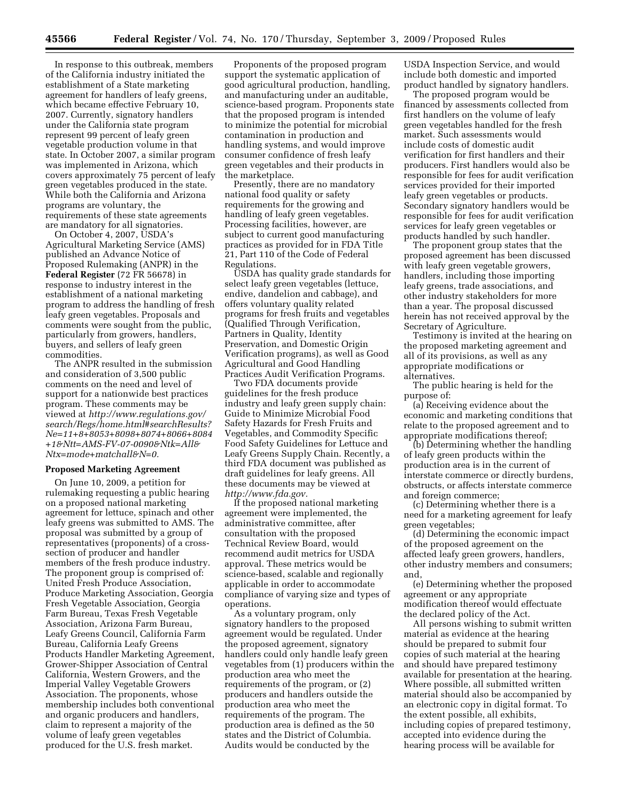In response to this outbreak, members of the California industry initiated the establishment of a State marketing agreement for handlers of leafy greens, which became effective February 10, 2007. Currently, signatory handlers under the California state program represent 99 percent of leafy green vegetable production volume in that state. In October 2007, a similar program was implemented in Arizona, which covers approximately 75 percent of leafy green vegetables produced in the state. While both the California and Arizona programs are voluntary, the requirements of these state agreements are mandatory for all signatories.

On October 4, 2007, USDA's Agricultural Marketing Service (AMS) published an Advance Notice of Proposed Rulemaking (ANPR) in the **Federal Register** (72 FR 56678) in response to industry interest in the establishment of a national marketing program to address the handling of fresh leafy green vegetables. Proposals and comments were sought from the public, particularly from growers, handlers, buyers, and sellers of leafy green commodities.

The ANPR resulted in the submission and consideration of 3,500 public comments on the need and level of support for a nationwide best practices program. These comments may be viewed at *http://www.regulations.gov/ search/Regs/home.html#searchResults? [Ne=11+8+8053+8098+8074+8066+8084](http://www.regulations.gov/search/Regs/home.html#searchResults?Ne=11+8+8053+8098+8074+8066+8084+1&Ntt=AMS-FV-07-0090&Ntk=All&Ntx=mode+matchall&N=0) +1&Ntt=AMS-FV-07-0090&Ntk=All& Ntx=mode+matchall&N=0.* 

#### **Proposed Marketing Agreement**

On June 10, 2009, a petition for rulemaking requesting a public hearing on a proposed national marketing agreement for lettuce, spinach and other leafy greens was submitted to AMS. The proposal was submitted by a group of representatives (proponents) of a crosssection of producer and handler members of the fresh produce industry. The proponent group is comprised of: United Fresh Produce Association, Produce Marketing Association, Georgia Fresh Vegetable Association, Georgia Farm Bureau, Texas Fresh Vegetable Association, Arizona Farm Bureau, Leafy Greens Council, California Farm Bureau, California Leafy Greens Products Handler Marketing Agreement, Grower-Shipper Association of Central California, Western Growers, and the Imperial Valley Vegetable Growers Association. The proponents, whose membership includes both conventional and organic producers and handlers, claim to represent a majority of the volume of leafy green vegetables produced for the U.S. fresh market.

Proponents of the proposed program support the systematic application of good agricultural production, handling, and manufacturing under an auditable, science-based program. Proponents state that the proposed program is intended to minimize the potential for microbial contamination in production and handling systems, and would improve consumer confidence of fresh leafy green vegetables and their products in the marketplace.

Presently, there are no mandatory national food quality or safety requirements for the growing and handling of leafy green vegetables. Processing facilities, however, are subject to current good manufacturing practices as provided for in FDA Title 21, Part 110 of the Code of Federal Regulations.

USDA has quality grade standards for select leafy green vegetables (lettuce, endive, dandelion and cabbage), and offers voluntary quality related programs for fresh fruits and vegetables (Qualified Through Verification, Partners in Quality, Identity Preservation, and Domestic Origin Verification programs), as well as Good Agricultural and Good Handling Practices Audit Verification Programs.

Two FDA documents provide guidelines for the fresh produce industry and leafy green supply chain: Guide to Minimize Microbial Food Safety Hazards for Fresh Fruits and Vegetables, and Commodity Specific Food Safety Guidelines for Lettuce and Leafy Greens Supply Chain. Recently, a third FDA document was published as draft guidelines for leafy greens. All these documents may be viewed at *[http://www.fda.gov.](http://www.fda.gov)* 

If the proposed national marketing agreement were implemented, the administrative committee, after consultation with the proposed Technical Review Board, would recommend audit metrics for USDA approval. These metrics would be science-based, scalable and regionally applicable in order to accommodate compliance of varying size and types of operations.

As a voluntary program, only signatory handlers to the proposed agreement would be regulated. Under the proposed agreement, signatory handlers could only handle leafy green vegetables from (1) producers within the production area who meet the requirements of the program, or (2) producers and handlers outside the production area who meet the requirements of the program. The production area is defined as the 50 states and the District of Columbia. Audits would be conducted by the

USDA Inspection Service, and would include both domestic and imported product handled by signatory handlers.

The proposed program would be financed by assessments collected from first handlers on the volume of leafy green vegetables handled for the fresh market. Such assessments would include costs of domestic audit verification for first handlers and their producers. First handlers would also be responsible for fees for audit verification services provided for their imported leafy green vegetables or products. Secondary signatory handlers would be responsible for fees for audit verification services for leafy green vegetables or products handled by such handler.

The proponent group states that the proposed agreement has been discussed with leafy green vegetable growers, handlers, including those importing leafy greens, trade associations, and other industry stakeholders for more than a year. The proposal discussed herein has not received approval by the Secretary of Agriculture.

Testimony is invited at the hearing on the proposed marketing agreement and all of its provisions, as well as any appropriate modifications or alternatives.

The public hearing is held for the purpose of:

(a) Receiving evidence about the economic and marketing conditions that relate to the proposed agreement and to appropriate modifications thereof;

(b) Determining whether the handling of leafy green products within the production area is in the current of interstate commerce or directly burdens, obstructs, or affects interstate commerce and foreign commerce;

(c) Determining whether there is a need for a marketing agreement for leafy green vegetables;

(d) Determining the economic impact of the proposed agreement on the affected leafy green growers, handlers, other industry members and consumers; and,

(e) Determining whether the proposed agreement or any appropriate modification thereof would effectuate the declared policy of the Act.

All persons wishing to submit written material as evidence at the hearing should be prepared to submit four copies of such material at the hearing and should have prepared testimony available for presentation at the hearing. Where possible, all submitted written material should also be accompanied by an electronic copy in digital format. To the extent possible, all exhibits, including copies of prepared testimony, accepted into evidence during the hearing process will be available for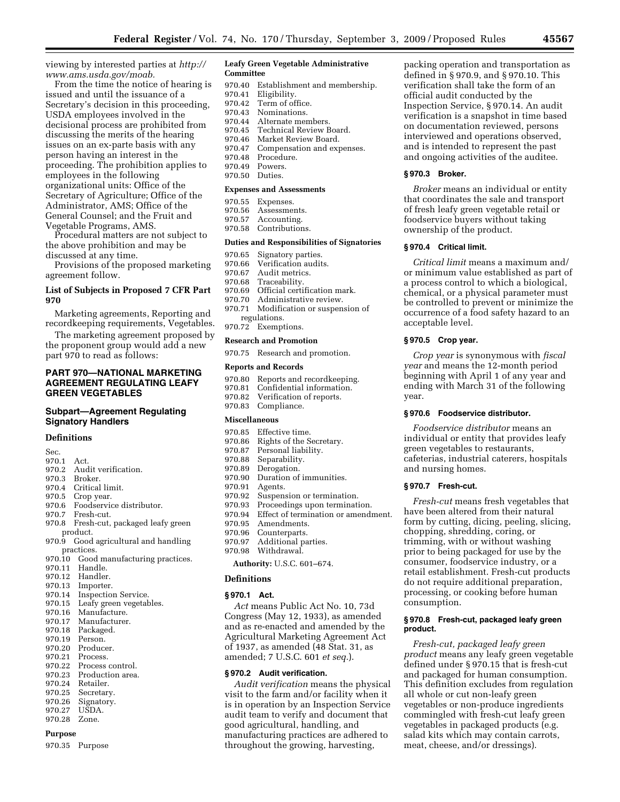[viewing by interested parties at](http://www.ams.usda.gov/moab) *http:// www.ams.usda.gov/moab.* 

From the time the notice of hearing is issued and until the issuance of a Secretary's decision in this proceeding, USDA employees involved in the decisional process are prohibited from discussing the merits of the hearing issues on an ex-parte basis with any person having an interest in the proceeding. The prohibition applies to employees in the following organizational units: Office of the Secretary of Agriculture; Office of the Administrator, AMS; Office of the General Counsel; and the Fruit and Vegetable Programs, AMS.

Procedural matters are not subject to the above prohibition and may be discussed at any time.

Provisions of the proposed marketing agreement follow.

# **List of Subjects in Proposed 7 CFR Part 970**

Marketing agreements, Reporting and recordkeeping requirements, Vegetables.

The marketing agreement proposed by the proponent group would add a new part 970 to read as follows:

# **PART 970—NATIONAL MARKETING AGREEMENT REGULATING LEAFY GREEN VEGETABLES**

# **Subpart—Agreement Regulating Signatory Handlers**

#### **Definitions**

- Sec.
- 970.1 Act.<br>970.2 Aud
- 970.2 Audit verification.<br>970.3 Broker. Broker.
- 
- 970.4 Critical limit.<br>970.5 Crop year.
- 970.5 Crop year.<br>970.6 Foodservi Foodservice distributor.
- 970.7 Fresh-cut.
- 970.8 Fresh-cut, packaged leafy green product.
- 970.9 Good agricultural and handling practices.
- 970.10 Good manufacturing practices.
- 970.11 Handle.
- 970.12 Handler.<br>970.13 Importer
- Importer.
- 970.14 Inspection Service.<br>970.15 Leafy green vegetable
- 970.15 Leafy green vegetables.<br>970.16 Manufacture. Manufacture.
- 
- 970.17 Manufacturer.<br>970.18 Packaged. Packaged.
- 970.19 Person.
- 970.20 Producer.
- 970.21 Process.<br>970.22 Process
- Process control.
- 970.23 Production area.
- 970.24 Retailer.<br>970.25 Secretar
- 970.25 Secretary.<br>970.26 Signatory.
- Signatory.
- 970.27 USDA. 970.28 Zone.

# **Purpose**

970.35 Purpose

#### **Leafy Green Vegetable Administrative Committee**

- 970.40 Establishment and membership.<br>970.41 Eligibility.
- Eligibility.
- 970.42 Term of office.<br>970.43 Nominations.
- 970.43 Nominations.<br>970.44 Alternate mere
- 970.44 Alternate members.<br>970.45 Technical Review B
- 970.45 Technical Review Board.<br>970.46 Market Review Board. Market Review Board.
- 970.47 Compensation and expenses.
- 
- 970.48 Procedure.<br>970.49 Powers. Powers.
- 970.50 Duties.

# **Expenses and Assessments**

- 970.55 Expenses.
- 970.56 Assessments.
- 970.57 Accounting.
- 970.58 Contributions.

# **Duties and Responsibilities of Signatories**

- 970.65 Signatory parties.
- 970.66 Verification audits.<br>970.67 Audit metrics.
- Audit metrics.
- 970.68 Traceability.<br>970.69 Official certi
- 970.69 Official certification mark.<br>970.70 Administrative review
- Administrative review.
- 970.71 Modification or suspension of regulations.
- 970.72 Exemptions.

#### **Research and Promotion**

970.75 Research and promotion.

#### **Reports and Records**

- 970.80 Reports and recordkeeping.<br>970.81 Confidential information.
- Confidential information.
- 970.82 Verification of reports.<br>970.83 Compliance.
- Compliance.

#### **Miscellaneous**

- 970.85 Effective time.<br>970.86 Rights of the S
- Rights of the Secretary.
- 970.87 Personal liability.
- 970.88 Separability.
- 970.89 Derogation.<br>970.90 Duration of
- Duration of immunities.
- 970.91 Agents.
- 970.92 Suspension or termination.<br>970.93 Proceedings upon termination.
- Proceedings upon termination. 970.94 Effect of termination or amendment.
- 970.95 Amendments.
- 970.96 Counterparts.
- 970.97 Additional parties.
- 970.98 Withdrawal.

**Authority:** U.S.C. 601–674.

# **Definitions**

# **§ 970.1 Act.**

*Act* means Public Act No. 10, 73d Congress (May 12, 1933), as amended and as re-enacted and amended by the Agricultural Marketing Agreement Act of 1937, as amended (48 Stat. 31, as amended; 7 U.S.C. 601 *et seq.*).

## **§ 970.2 Audit verification.**

*Audit verification* means the physical visit to the farm and/or facility when it is in operation by an Inspection Service audit team to verify and document that good agricultural, handling, and manufacturing practices are adhered to throughout the growing, harvesting,

packing operation and transportation as defined in § 970.9, and § 970.10. This verification shall take the form of an official audit conducted by the Inspection Service, § 970.14. An audit verification is a snapshot in time based on documentation reviewed, persons interviewed and operations observed, and is intended to represent the past and ongoing activities of the auditee.

# **§ 970.3 Broker.**

*Broker* means an individual or entity that coordinates the sale and transport of fresh leafy green vegetable retail or foodservice buyers without taking ownership of the product.

## **§ 970.4 Critical limit.**

*Critical limit* means a maximum and/ or minimum value established as part of a process control to which a biological, chemical, or a physical parameter must be controlled to prevent or minimize the occurrence of a food safety hazard to an acceptable level.

#### **§ 970.5 Crop year.**

**§ 970.7 Fresh-cut.** 

consumption.

**product.** 

*Crop year* is synonymous with *fiscal year* and means the 12-month period beginning with April 1 of any year and ending with March 31 of the following year.

#### **§ 970.6 Foodservice distributor.**

*Foodservice distributor* means an individual or entity that provides leafy green vegetables to restaurants, cafeterias, industrial caterers, hospitals and nursing homes.

*Fresh-cut* means fresh vegetables that have been altered from their natural form by cutting, dicing, peeling, slicing, chopping, shredding, coring, or trimming, with or without washing prior to being packaged for use by the consumer, foodservice industry, or a retail establishment. Fresh-cut products do not require additional preparation, processing, or cooking before human

**§ 970.8 Fresh-cut, packaged leafy green** 

*Fresh-cut, packaged leafy green product* means any leafy green vegetable defined under § 970.15 that is fresh-cut and packaged for human consumption. This definition excludes from regulation

all whole or cut non-leafy green vegetables or non-produce ingredients commingled with fresh-cut leafy green vegetables in packaged products (e.g. salad kits which may contain carrots, meat, cheese, and/or dressings).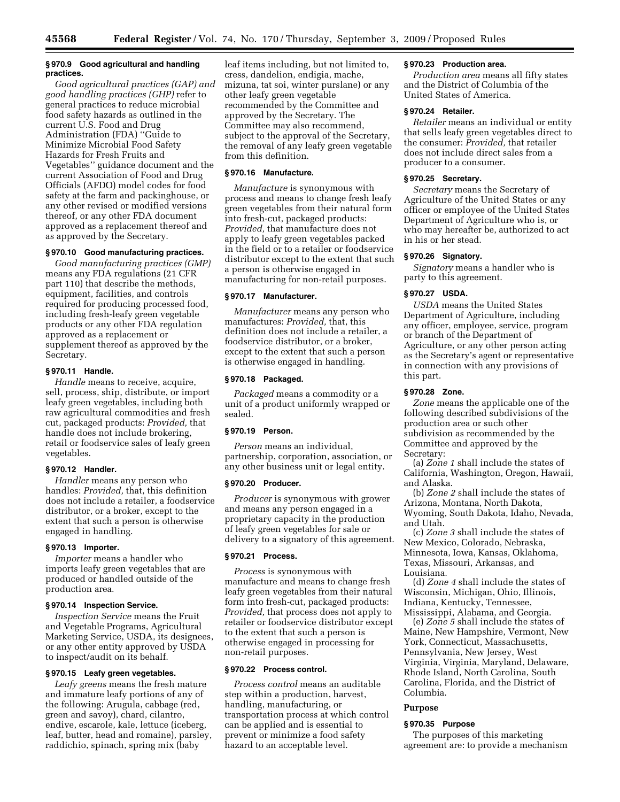# **§ 970.9 Good agricultural and handling practices.**

*Good agricultural practices (GAP) and good handling practices (GHP)* refer to general practices to reduce microbial food safety hazards as outlined in the current U.S. Food and Drug Administration (FDA) ''Guide to Minimize Microbial Food Safety Hazards for Fresh Fruits and Vegetables'' guidance document and the current Association of Food and Drug Officials (AFDO) model codes for food safety at the farm and packinghouse, or any other revised or modified versions thereof, or any other FDA document approved as a replacement thereof and as approved by the Secretary.

# **§ 970.10 Good manufacturing practices.**

*Good manufacturing practices (GMP)*  means any FDA regulations (21 CFR part 110) that describe the methods, equipment, facilities, and controls required for producing processed food, including fresh-leafy green vegetable products or any other FDA regulation approved as a replacement or supplement thereof as approved by the Secretary.

# **§ 970.11 Handle.**

*Handle* means to receive, acquire, sell, process, ship, distribute, or import leafy green vegetables, including both raw agricultural commodities and fresh cut, packaged products: *Provided,* that handle does not include brokering, retail or foodservice sales of leafy green vegetables.

#### **§ 970.12 Handler.**

*Handler* means any person who handles: *Provided,* that, this definition does not include a retailer, a foodservice distributor, or a broker, except to the extent that such a person is otherwise engaged in handling.

#### **§ 970.13 Importer.**

*Importer* means a handler who imports leafy green vegetables that are produced or handled outside of the production area.

## **§ 970.14 Inspection Service.**

*Inspection Service* means the Fruit and Vegetable Programs, Agricultural Marketing Service, USDA, its designees, or any other entity approved by USDA to inspect/audit on its behalf.

# **§ 970.15 Leafy green vegetables.**

*Leafy greens* means the fresh mature and immature leafy portions of any of the following: Arugula, cabbage (red, green and savoy), chard, cilantro, endive, escarole, kale, lettuce (iceberg, leaf, butter, head and romaine), parsley, raddichio, spinach, spring mix (baby

leaf items including, but not limited to, cress, dandelion, endigia, mache, mizuna, tat soi, winter purslane) or any other leafy green vegetable recommended by the Committee and approved by the Secretary. The Committee may also recommend, subject to the approval of the Secretary, the removal of any leafy green vegetable from this definition.

#### **§ 970.16 Manufacture.**

*Manufacture* is synonymous with process and means to change fresh leafy green vegetables from their natural form into fresh-cut, packaged products: *Provided,* that manufacture does not apply to leafy green vegetables packed in the field or to a retailer or foodservice distributor except to the extent that such a person is otherwise engaged in manufacturing for non-retail purposes.

# **§ 970.17 Manufacturer.**

*Manufacturer* means any person who manufactures: *Provided,* that, this definition does not include a retailer, a foodservice distributor, or a broker, except to the extent that such a person is otherwise engaged in handling.

# **§ 970.18 Packaged.**

*Packaged* means a commodity or a unit of a product uniformly wrapped or sealed.

# **§ 970.19 Person.**

*Person* means an individual, partnership, corporation, association, or any other business unit or legal entity.

## **§ 970.20 Producer.**

*Producer* is synonymous with grower and means any person engaged in a proprietary capacity in the production of leafy green vegetables for sale or delivery to a signatory of this agreement.

# **§ 970.21 Process.**

*Process* is synonymous with manufacture and means to change fresh leafy green vegetables from their natural form into fresh-cut, packaged products: *Provided,* that process does not apply to retailer or foodservice distributor except to the extent that such a person is otherwise engaged in processing for non-retail purposes.

# **§ 970.22 Process control.**

*Process control* means an auditable step within a production, harvest, handling, manufacturing, or transportation process at which control can be applied and is essential to prevent or minimize a food safety hazard to an acceptable level.

# **§ 970.23 Production area.**

*Production area* means all fifty states and the District of Columbia of the United States of America.

# **§ 970.24 Retailer.**

*Retailer* means an individual or entity that sells leafy green vegetables direct to the consumer: *Provided,* that retailer does not include direct sales from a producer to a consumer.

# **§ 970.25 Secretary.**

*Secretary* means the Secretary of Agriculture of the United States or any officer or employee of the United States Department of Agriculture who is, or who may hereafter be, authorized to act in his or her stead.

# **§ 970.26 Signatory.**

*Signatory* means a handler who is party to this agreement.

# **§ 970.27 USDA.**

*USDA* means the United States Department of Agriculture, including any officer, employee, service, program or branch of the Department of Agriculture, or any other person acting as the Secretary's agent or representative in connection with any provisions of this part.

#### **§ 970.28 Zone.**

*Zone* means the applicable one of the following described subdivisions of the production area or such other subdivision as recommended by the Committee and approved by the Secretary:

(a) *Zone 1* shall include the states of California, Washington, Oregon, Hawaii, and Alaska.

(b) *Zone 2* shall include the states of Arizona, Montana, North Dakota, Wyoming, South Dakota, Idaho, Nevada, and Utah.

(c) *Zone 3* shall include the states of New Mexico, Colorado, Nebraska, Minnesota, Iowa, Kansas, Oklahoma, Texas, Missouri, Arkansas, and Louisiana.

(d) *Zone 4* shall include the states of Wisconsin, Michigan, Ohio, Illinois, Indiana, Kentucky, Tennessee, Mississippi, Alabama, and Georgia.

(e) *Zone 5* shall include the states of Maine, New Hampshire, Vermont, New York, Connecticut, Massachusetts, Pennsylvania, New Jersey, West Virginia, Virginia, Maryland, Delaware, Rhode Island, North Carolina, South Carolina, Florida, and the District of Columbia.

## **Purpose**

## **§ 970.35 Purpose**

The purposes of this marketing agreement are: to provide a mechanism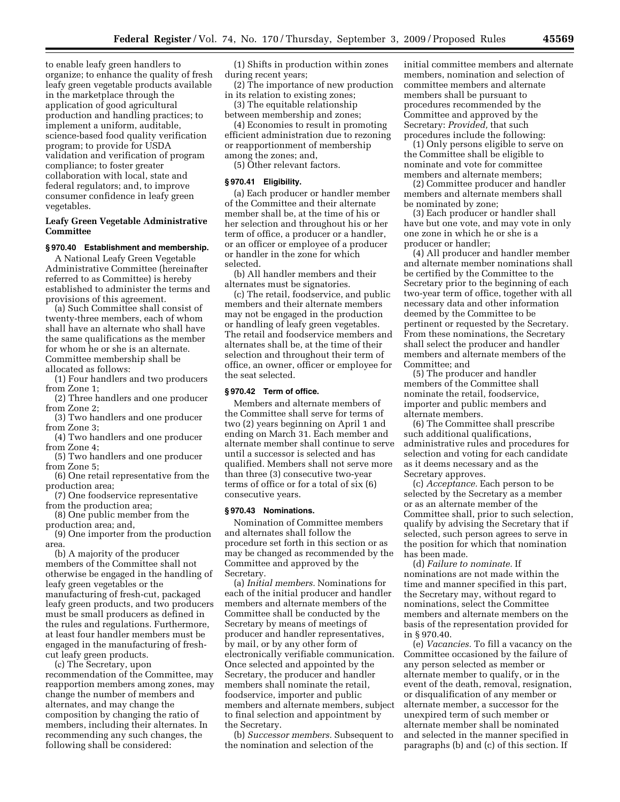to enable leafy green handlers to organize; to enhance the quality of fresh leafy green vegetable products available in the marketplace through the application of good agricultural production and handling practices; to implement a uniform, auditable, science-based food quality verification program; to provide for USDA validation and verification of program compliance; to foster greater collaboration with local, state and federal regulators; and, to improve consumer confidence in leafy green vegetables.

# **Leafy Green Vegetable Administrative Committee**

#### **§ 970.40 Establishment and membership.**

A National Leafy Green Vegetable Administrative Committee (hereinafter referred to as Committee) is hereby established to administer the terms and provisions of this agreement.

(a) Such Committee shall consist of twenty-three members, each of whom shall have an alternate who shall have the same qualifications as the member for whom he or she is an alternate. Committee membership shall be allocated as follows:

(1) Four handlers and two producers from Zone 1;

(2) Three handlers and one producer from Zone 2;

(3) Two handlers and one producer from Zone 3;

(4) Two handlers and one producer from Zone 4;

(5) Two handlers and one producer from Zone 5;

(6) One retail representative from the production area;

(7) One foodservice representative from the production area;

(8) One public member from the production area; and,

(9) One importer from the production area.

(b) A majority of the producer members of the Committee shall not otherwise be engaged in the handling of leafy green vegetables or the manufacturing of fresh-cut, packaged leafy green products, and two producers must be small producers as defined in the rules and regulations. Furthermore, at least four handler members must be engaged in the manufacturing of freshcut leafy green products.

(c) The Secretary, upon recommendation of the Committee, may reapportion members among zones, may change the number of members and alternates, and may change the composition by changing the ratio of members, including their alternates. In recommending any such changes, the following shall be considered:

(1) Shifts in production within zones during recent years;

(2) The importance of new production in its relation to existing zones;

(3) The equitable relationship between membership and zones;

(4) Economies to result in promoting efficient administration due to rezoning or reapportionment of membership among the zones; and,

(5) Other relevant factors.

# **§ 970.41 Eligibility.**

(a) Each producer or handler member of the Committee and their alternate member shall be, at the time of his or her selection and throughout his or her term of office, a producer or a handler, or an officer or employee of a producer or handler in the zone for which selected.

(b) All handler members and their alternates must be signatories.

(c) The retail, foodservice, and public members and their alternate members may not be engaged in the production or handling of leafy green vegetables. The retail and foodservice members and alternates shall be, at the time of their selection and throughout their term of office, an owner, officer or employee for the seat selected.

# **§ 970.42 Term of office.**

Members and alternate members of the Committee shall serve for terms of two (2) years beginning on April 1 and ending on March 31. Each member and alternate member shall continue to serve until a successor is selected and has qualified. Members shall not serve more than three (3) consecutive two-year terms of office or for a total of six (6) consecutive years.

# **§ 970.43 Nominations.**

Nomination of Committee members and alternates shall follow the procedure set forth in this section or as may be changed as recommended by the Committee and approved by the Secretary.

(a) *Initial members.* Nominations for each of the initial producer and handler members and alternate members of the Committee shall be conducted by the Secretary by means of meetings of producer and handler representatives, by mail, or by any other form of electronically verifiable communication. Once selected and appointed by the Secretary, the producer and handler members shall nominate the retail, foodservice, importer and public members and alternate members, subject to final selection and appointment by the Secretary.

(b) *Successor members.* Subsequent to the nomination and selection of the

initial committee members and alternate members, nomination and selection of committee members and alternate members shall be pursuant to procedures recommended by the Committee and approved by the Secretary: *Provided,* that such procedures include the following:

(1) Only persons eligible to serve on the Committee shall be eligible to nominate and vote for committee members and alternate members;

(2) Committee producer and handler members and alternate members shall be nominated by zone;

(3) Each producer or handler shall have but one vote, and may vote in only one zone in which he or she is a producer or handler;

(4) All producer and handler member and alternate member nominations shall be certified by the Committee to the Secretary prior to the beginning of each two-year term of office, together with all necessary data and other information deemed by the Committee to be pertinent or requested by the Secretary. From these nominations, the Secretary shall select the producer and handler members and alternate members of the Committee; and

(5) The producer and handler members of the Committee shall nominate the retail, foodservice, importer and public members and alternate members.

(6) The Committee shall prescribe such additional qualifications, administrative rules and procedures for selection and voting for each candidate as it deems necessary and as the Secretary approves.

(c) *Acceptance.* Each person to be selected by the Secretary as a member or as an alternate member of the Committee shall, prior to such selection, qualify by advising the Secretary that if selected, such person agrees to serve in the position for which that nomination has been made.

(d) *Failure to nominate.* If nominations are not made within the time and manner specified in this part, the Secretary may, without regard to nominations, select the Committee members and alternate members on the basis of the representation provided for in § 970.40.

(e) *Vacancies.* To fill a vacancy on the Committee occasioned by the failure of any person selected as member or alternate member to qualify, or in the event of the death, removal, resignation, or disqualification of any member or alternate member, a successor for the unexpired term of such member or alternate member shall be nominated and selected in the manner specified in paragraphs (b) and (c) of this section. If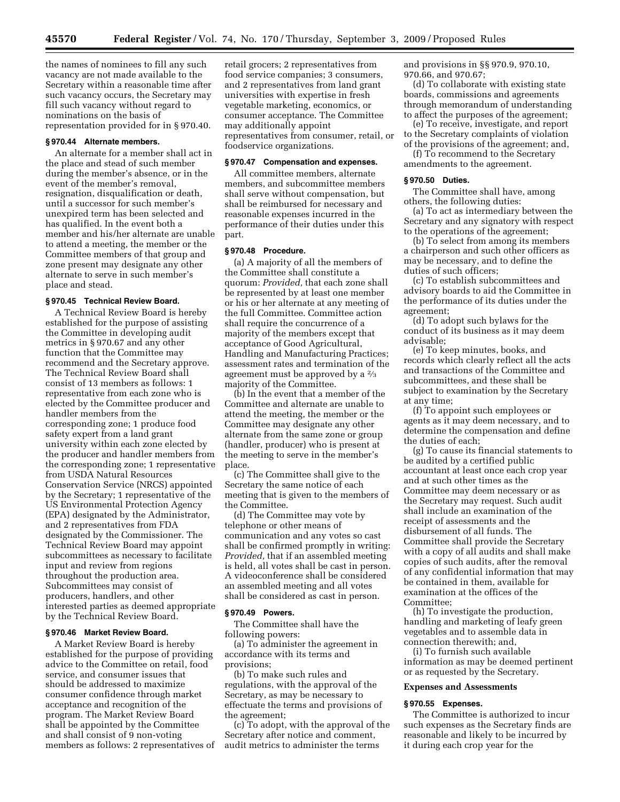the names of nominees to fill any such vacancy are not made available to the Secretary within a reasonable time after such vacancy occurs, the Secretary may fill such vacancy without regard to nominations on the basis of representation provided for in § 970.40.

# **§ 970.44 Alternate members.**

An alternate for a member shall act in the place and stead of such member during the member's absence, or in the event of the member's removal, resignation, disqualification or death, until a successor for such member's unexpired term has been selected and has qualified. In the event both a member and his/her alternate are unable to attend a meeting, the member or the Committee members of that group and zone present may designate any other alternate to serve in such member's place and stead.

#### **§ 970.45 Technical Review Board.**

A Technical Review Board is hereby established for the purpose of assisting the Committee in developing audit metrics in § 970.67 and any other function that the Committee may recommend and the Secretary approve. The Technical Review Board shall consist of 13 members as follows: 1 representative from each zone who is elected by the Committee producer and handler members from the corresponding zone; 1 produce food safety expert from a land grant university within each zone elected by the producer and handler members from the corresponding zone; 1 representative from USDA Natural Resources Conservation Service (NRCS) appointed by the Secretary; 1 representative of the US Environmental Protection Agency (EPA) designated by the Administrator, and 2 representatives from FDA designated by the Commissioner. The Technical Review Board may appoint subcommittees as necessary to facilitate input and review from regions throughout the production area. Subcommittees may consist of producers, handlers, and other interested parties as deemed appropriate by the Technical Review Board.

# **§ 970.46 Market Review Board.**

A Market Review Board is hereby established for the purpose of providing advice to the Committee on retail, food service, and consumer issues that should be addressed to maximize consumer confidence through market acceptance and recognition of the program. The Market Review Board shall be appointed by the Committee and shall consist of 9 non-voting members as follows: 2 representatives of

retail grocers; 2 representatives from food service companies; 3 consumers, and 2 representatives from land grant universities with expertise in fresh vegetable marketing, economics, or consumer acceptance. The Committee may additionally appoint representatives from consumer, retail, or foodservice organizations.

#### **§ 970.47 Compensation and expenses.**

All committee members, alternate members, and subcommittee members shall serve without compensation, but shall be reimbursed for necessary and reasonable expenses incurred in the performance of their duties under this part.

# **§ 970.48 Procedure.**

(a) A majority of all the members of the Committee shall constitute a quorum: *Provided,* that each zone shall be represented by at least one member or his or her alternate at any meeting of the full Committee. Committee action shall require the concurrence of a majority of the members except that acceptance of Good Agricultural, Handling and Manufacturing Practices; assessment rates and termination of the agreement must be approved by a 2⁄3 majority of the Committee.

(b) In the event that a member of the Committee and alternate are unable to attend the meeting, the member or the Committee may designate any other alternate from the same zone or group (handler, producer) who is present at the meeting to serve in the member's place.

(c) The Committee shall give to the Secretary the same notice of each meeting that is given to the members of the Committee.

(d) The Committee may vote by telephone or other means of communication and any votes so cast shall be confirmed promptly in writing: *Provided,* that if an assembled meeting is held, all votes shall be cast in person. A videoconference shall be considered an assembled meeting and all votes shall be considered as cast in person.

## **§ 970.49 Powers.**

The Committee shall have the following powers:

(a) To administer the agreement in accordance with its terms and provisions;

(b) To make such rules and regulations, with the approval of the Secretary, as may be necessary to effectuate the terms and provisions of the agreement;

(c) To adopt, with the approval of the Secretary after notice and comment, audit metrics to administer the terms

and provisions in §§ 970.9, 970.10, 970.66, and 970.67;

(d) To collaborate with existing state boards, commissions and agreements through memorandum of understanding to affect the purposes of the agreement;

(e) To receive, investigate, and report to the Secretary complaints of violation of the provisions of the agreement; and,

(f) To recommend to the Secretary amendments to the agreement.

# **§ 970.50 Duties.**

The Committee shall have, among others, the following duties:

(a) To act as intermediary between the Secretary and any signatory with respect to the operations of the agreement;

(b) To select from among its members a chairperson and such other officers as may be necessary, and to define the duties of such officers;

(c) To establish subcommittees and advisory boards to aid the Committee in the performance of its duties under the agreement;

(d) To adopt such bylaws for the conduct of its business as it may deem advisable;

(e) To keep minutes, books, and records which clearly reflect all the acts and transactions of the Committee and subcommittees, and these shall be subject to examination by the Secretary at any time;

(f) To appoint such employees or agents as it may deem necessary, and to determine the compensation and define the duties of each;

(g) To cause its financial statements to be audited by a certified public accountant at least once each crop year and at such other times as the Committee may deem necessary or as the Secretary may request. Such audit shall include an examination of the receipt of assessments and the disbursement of all funds. The Committee shall provide the Secretary with a copy of all audits and shall make copies of such audits, after the removal of any confidential information that may be contained in them, available for examination at the offices of the Committee;

(h) To investigate the production, handling and marketing of leafy green vegetables and to assemble data in connection therewith; and,

(i) To furnish such available information as may be deemed pertinent or as requested by the Secretary.

## **Expenses and Assessments**

# **§ 970.55 Expenses.**

The Committee is authorized to incur such expenses as the Secretary finds are reasonable and likely to be incurred by it during each crop year for the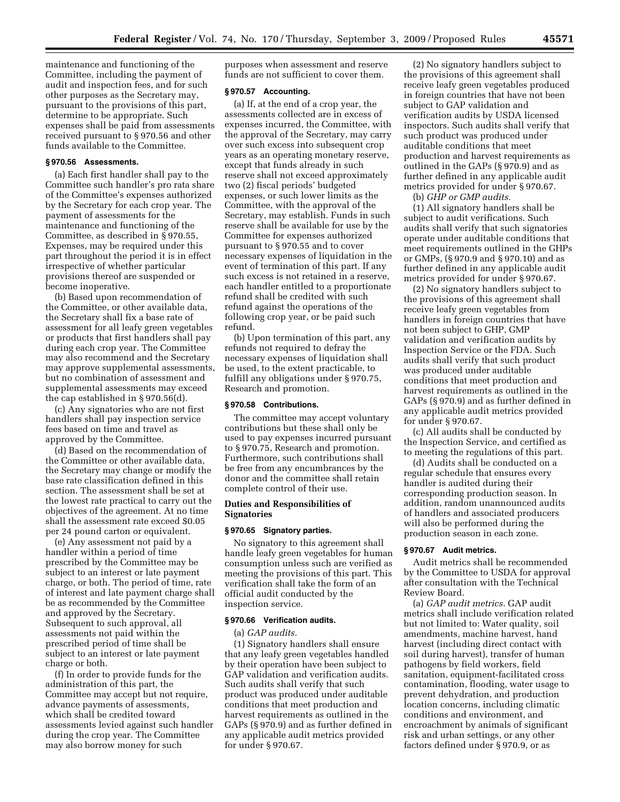maintenance and functioning of the Committee, including the payment of audit and inspection fees, and for such other purposes as the Secretary may, pursuant to the provisions of this part, determine to be appropriate. Such expenses shall be paid from assessments received pursuant to § 970.56 and other funds available to the Committee.

# **§ 970.56 Assessments.**

(a) Each first handler shall pay to the Committee such handler's pro rata share of the Committee's expenses authorized by the Secretary for each crop year. The payment of assessments for the maintenance and functioning of the Committee, as described in § 970.55, Expenses, may be required under this part throughout the period it is in effect irrespective of whether particular provisions thereof are suspended or become inoperative.

(b) Based upon recommendation of the Committee, or other available data, the Secretary shall fix a base rate of assessment for all leafy green vegetables or products that first handlers shall pay during each crop year. The Committee may also recommend and the Secretary may approve supplemental assessments, but no combination of assessment and supplemental assessments may exceed the cap established in § 970.56(d).

(c) Any signatories who are not first handlers shall pay inspection service fees based on time and travel as approved by the Committee.

(d) Based on the recommendation of the Committee or other available data, the Secretary may change or modify the base rate classification defined in this section. The assessment shall be set at the lowest rate practical to carry out the objectives of the agreement. At no time shall the assessment rate exceed \$0.05 per 24 pound carton or equivalent.

(e) Any assessment not paid by a handler within a period of time prescribed by the Committee may be subject to an interest or late payment charge, or both. The period of time, rate of interest and late payment charge shall be as recommended by the Committee and approved by the Secretary. Subsequent to such approval, all assessments not paid within the prescribed period of time shall be subject to an interest or late payment charge or both.

(f) In order to provide funds for the administration of this part, the Committee may accept but not require, advance payments of assessments, which shall be credited toward assessments levied against such handler during the crop year. The Committee may also borrow money for such

purposes when assessment and reserve funds are not sufficient to cover them.

#### **§ 970.57 Accounting.**

(a) If, at the end of a crop year, the assessments collected are in excess of expenses incurred, the Committee, with the approval of the Secretary, may carry over such excess into subsequent crop years as an operating monetary reserve, except that funds already in such reserve shall not exceed approximately two (2) fiscal periods' budgeted expenses, or such lower limits as the Committee, with the approval of the Secretary, may establish. Funds in such reserve shall be available for use by the Committee for expenses authorized pursuant to § 970.55 and to cover necessary expenses of liquidation in the event of termination of this part. If any such excess is not retained in a reserve, each handler entitled to a proportionate refund shall be credited with such refund against the operations of the following crop year, or be paid such refund.

(b) Upon termination of this part, any refunds not required to defray the necessary expenses of liquidation shall be used, to the extent practicable, to fulfill any obligations under § 970.75, Research and promotion.

#### **§ 970.58 Contributions.**

The committee may accept voluntary contributions but these shall only be used to pay expenses incurred pursuant to § 970.75, Research and promotion. Furthermore, such contributions shall be free from any encumbrances by the donor and the committee shall retain complete control of their use.

## **Duties and Responsibilities of Signatories**

#### **§ 970.65 Signatory parties.**

No signatory to this agreement shall handle leafy green vegetables for human consumption unless such are verified as meeting the provisions of this part. This verification shall take the form of an official audit conducted by the inspection service.

# **§ 970.66 Verification audits.**

(a) *GAP audits.* 

(1) Signatory handlers shall ensure that any leafy green vegetables handled by their operation have been subject to GAP validation and verification audits. Such audits shall verify that such product was produced under auditable conditions that meet production and harvest requirements as outlined in the GAPs (§ 970.9) and as further defined in any applicable audit metrics provided for under § 970.67.

(2) No signatory handlers subject to the provisions of this agreement shall receive leafy green vegetables produced in foreign countries that have not been subject to GAP validation and verification audits by USDA licensed inspectors. Such audits shall verify that such product was produced under auditable conditions that meet production and harvest requirements as outlined in the GAPs (§ 970.9) and as further defined in any applicable audit metrics provided for under § 970.67.

(b) *GHP or GMP audits.* 

(1) All signatory handlers shall be subject to audit verifications. Such audits shall verify that such signatories operate under auditable conditions that meet requirements outlined in the GHPs or GMPs, (§ 970.9 and § 970.10) and as further defined in any applicable audit metrics provided for under § 970.67.

(2) No signatory handlers subject to the provisions of this agreement shall receive leafy green vegetables from handlers in foreign countries that have not been subject to GHP, GMP validation and verification audits by Inspection Service or the FDA. Such audits shall verify that such product was produced under auditable conditions that meet production and harvest requirements as outlined in the GAPs (§ 970.9) and as further defined in any applicable audit metrics provided for under § 970.67.

(c) All audits shall be conducted by the Inspection Service, and certified as to meeting the regulations of this part.

(d) Audits shall be conducted on a regular schedule that ensures every handler is audited during their corresponding production season. In addition, random unannounced audits of handlers and associated producers will also be performed during the production season in each zone.

# **§ 970.67 Audit metrics.**

Audit metrics shall be recommended by the Committee to USDA for approval after consultation with the Technical Review Board.

(a) *GAP audit metrics.* GAP audit metrics shall include verification related but not limited to: Water quality, soil amendments, machine harvest, hand harvest (including direct contact with soil during harvest), transfer of human pathogens by field workers, field sanitation, equipment-facilitated cross contamination, flooding, water usage to prevent dehydration, and production location concerns, including climatic conditions and environment, and encroachment by animals of significant risk and urban settings, or any other factors defined under § 970.9, or as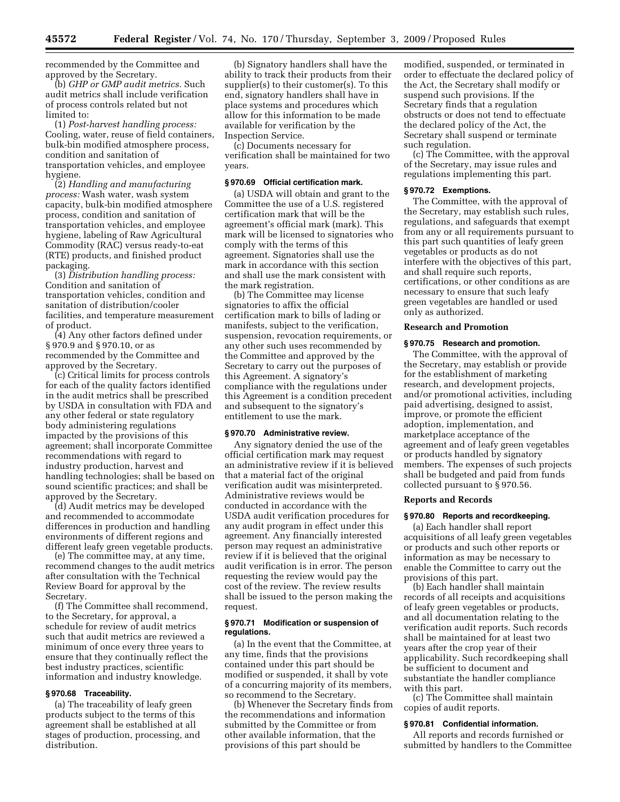recommended by the Committee and approved by the Secretary.

(b) *GHP or GMP audit metrics.* Such audit metrics shall include verification of process controls related but not limited to:

(1) *Post-harvest handling process:*  Cooling, water, reuse of field containers, bulk-bin modified atmosphere process, condition and sanitation of transportation vehicles, and employee hygiene.

(2) *Handling and manufacturing process:* Wash water, wash system capacity, bulk-bin modified atmosphere process, condition and sanitation of transportation vehicles, and employee hygiene, labeling of Raw Agricultural Commodity (RAC) versus ready-to-eat (RTE) products, and finished product packaging.

(3) *Distribution handling process:*  Condition and sanitation of transportation vehicles, condition and sanitation of distribution/cooler facilities, and temperature measurement of product.

(4) Any other factors defined under § 970.9 and § 970.10, or as recommended by the Committee and approved by the Secretary.

(c) Critical limits for process controls for each of the quality factors identified in the audit metrics shall be prescribed by USDA in consultation with FDA and any other federal or state regulatory body administering regulations impacted by the provisions of this agreement; shall incorporate Committee recommendations with regard to industry production, harvest and handling technologies; shall be based on sound scientific practices; and shall be approved by the Secretary.

(d) Audit metrics may be developed and recommended to accommodate differences in production and handling environments of different regions and different leafy green vegetable products.

(e) The committee may, at any time, recommend changes to the audit metrics after consultation with the Technical Review Board for approval by the Secretary.

(f) The Committee shall recommend, to the Secretary, for approval, a schedule for review of audit metrics such that audit metrics are reviewed a minimum of once every three years to ensure that they continually reflect the best industry practices, scientific information and industry knowledge.

## **§ 970.68 Traceability.**

(a) The traceability of leafy green products subject to the terms of this agreement shall be established at all stages of production, processing, and distribution.

(b) Signatory handlers shall have the ability to track their products from their supplier(s) to their customer(s). To this end, signatory handlers shall have in place systems and procedures which allow for this information to be made available for verification by the Inspection Service.

(c) Documents necessary for verification shall be maintained for two years.

# **§ 970.69 Official certification mark.**

(a) USDA will obtain and grant to the Committee the use of a U.S. registered certification mark that will be the agreement's official mark (mark). This mark will be licensed to signatories who comply with the terms of this agreement. Signatories shall use the mark in accordance with this section and shall use the mark consistent with the mark registration.

(b) The Committee may license signatories to affix the official certification mark to bills of lading or manifests, subject to the verification, suspension, revocation requirements, or any other such uses recommended by the Committee and approved by the Secretary to carry out the purposes of this Agreement. A signatory's compliance with the regulations under this Agreement is a condition precedent and subsequent to the signatory's entitlement to use the mark.

## **§ 970.70 Administrative review.**

Any signatory denied the use of the official certification mark may request an administrative review if it is believed that a material fact of the original verification audit was misinterpreted. Administrative reviews would be conducted in accordance with the USDA audit verification procedures for any audit program in effect under this agreement. Any financially interested person may request an administrative review if it is believed that the original audit verification is in error. The person requesting the review would pay the cost of the review. The review results shall be issued to the person making the request.

# **§ 970.71 Modification or suspension of regulations.**

(a) In the event that the Committee, at any time, finds that the provisions contained under this part should be modified or suspended, it shall by vote of a concurring majority of its members, so recommend to the Secretary.

(b) Whenever the Secretary finds from the recommendations and information submitted by the Committee or from other available information, that the provisions of this part should be

modified, suspended, or terminated in order to effectuate the declared policy of the Act, the Secretary shall modify or suspend such provisions. If the Secretary finds that a regulation obstructs or does not tend to effectuate the declared policy of the Act, the Secretary shall suspend or terminate such regulation.

(c) The Committee, with the approval of the Secretary, may issue rules and regulations implementing this part.

# **§ 970.72 Exemptions.**

The Committee, with the approval of the Secretary, may establish such rules, regulations, and safeguards that exempt from any or all requirements pursuant to this part such quantities of leafy green vegetables or products as do not interfere with the objectives of this part, and shall require such reports, certifications, or other conditions as are necessary to ensure that such leafy green vegetables are handled or used only as authorized.

# **Research and Promotion**

#### **§ 970.75 Research and promotion.**

The Committee, with the approval of the Secretary, may establish or provide for the establishment of marketing research, and development projects, and/or promotional activities, including paid advertising, designed to assist, improve, or promote the efficient adoption, implementation, and marketplace acceptance of the agreement and of leafy green vegetables or products handled by signatory members. The expenses of such projects shall be budgeted and paid from funds collected pursuant to § 970.56.

#### **Reports and Records**

#### **§ 970.80 Reports and recordkeeping.**

(a) Each handler shall report acquisitions of all leafy green vegetables or products and such other reports or information as may be necessary to enable the Committee to carry out the provisions of this part.

(b) Each handler shall maintain records of all receipts and acquisitions of leafy green vegetables or products, and all documentation relating to the verification audit reports. Such records shall be maintained for at least two years after the crop year of their applicability. Such recordkeeping shall be sufficient to document and substantiate the handler compliance with this part.

(c) The Committee shall maintain copies of audit reports.

## **§ 970.81 Confidential information.**

All reports and records furnished or submitted by handlers to the Committee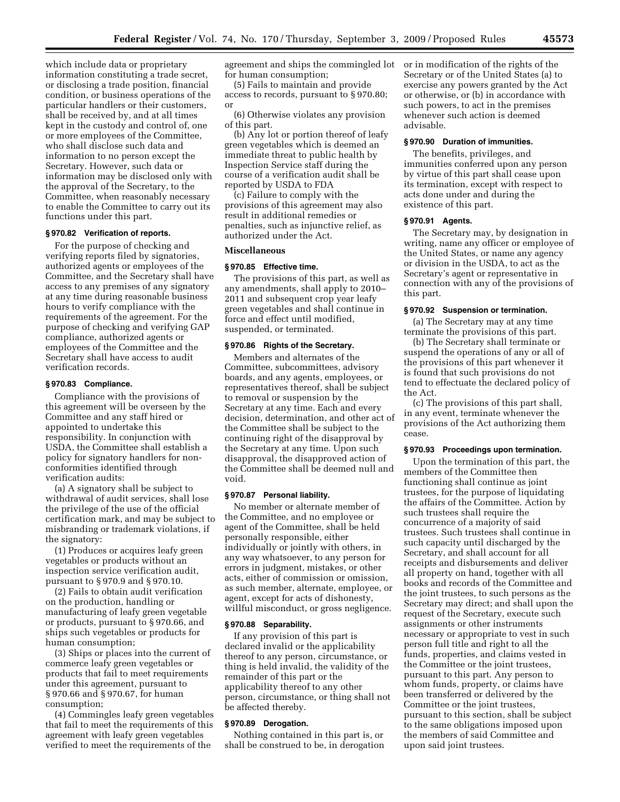which include data or proprietary information constituting a trade secret, or disclosing a trade position, financial condition, or business operations of the particular handlers or their customers, shall be received by, and at all times kept in the custody and control of, one or more employees of the Committee, who shall disclose such data and information to no person except the Secretary. However, such data or information may be disclosed only with the approval of the Secretary, to the Committee, when reasonably necessary to enable the Committee to carry out its functions under this part.

# **§ 970.82 Verification of reports.**

For the purpose of checking and verifying reports filed by signatories, authorized agents or employees of the Committee, and the Secretary shall have access to any premises of any signatory at any time during reasonable business hours to verify compliance with the requirements of the agreement. For the purpose of checking and verifying GAP compliance, authorized agents or employees of the Committee and the Secretary shall have access to audit verification records.

#### **§ 970.83 Compliance.**

Compliance with the provisions of this agreement will be overseen by the Committee and any staff hired or appointed to undertake this responsibility. In conjunction with USDA, the Committee shall establish a policy for signatory handlers for nonconformities identified through verification audits:

(a) A signatory shall be subject to withdrawal of audit services, shall lose the privilege of the use of the official certification mark, and may be subject to misbranding or trademark violations, if the signatory:

(1) Produces or acquires leafy green vegetables or products without an inspection service verification audit, pursuant to § 970.9 and § 970.10.

(2) Fails to obtain audit verification on the production, handling or manufacturing of leafy green vegetable or products, pursuant to § 970.66, and ships such vegetables or products for human consumption;

(3) Ships or places into the current of commerce leafy green vegetables or products that fail to meet requirements under this agreement, pursuant to § 970.66 and § 970.67, for human consumption;

(4) Commingles leafy green vegetables that fail to meet the requirements of this agreement with leafy green vegetables verified to meet the requirements of the

agreement and ships the commingled lot for human consumption;

(5) Fails to maintain and provide access to records, pursuant to § 970.80; or

(6) Otherwise violates any provision of this part.

(b) Any lot or portion thereof of leafy green vegetables which is deemed an immediate threat to public health by Inspection Service staff during the course of a verification audit shall be reported by USDA to FDA

(c) Failure to comply with the provisions of this agreement may also result in additional remedies or penalties, such as injunctive relief, as authorized under the Act.

# **Miscellaneous**

## **§ 970.85 Effective time.**

The provisions of this part, as well as any amendments, shall apply to 2010– 2011 and subsequent crop year leafy green vegetables and shall continue in force and effect until modified, suspended, or terminated.

## **§ 970.86 Rights of the Secretary.**

Members and alternates of the Committee, subcommittees, advisory boards, and any agents, employees, or representatives thereof, shall be subject to removal or suspension by the Secretary at any time. Each and every decision, determination, and other act of the Committee shall be subject to the continuing right of the disapproval by the Secretary at any time. Upon such disapproval, the disapproved action of the Committee shall be deemed null and void.

# **§ 970.87 Personal liability.**

No member or alternate member of the Committee, and no employee or agent of the Committee, shall be held personally responsible, either individually or jointly with others, in any way whatsoever, to any person for errors in judgment, mistakes, or other acts, either of commission or omission, as such member, alternate, employee, or agent, except for acts of dishonesty, willful misconduct, or gross negligence.

#### **§ 970.88 Separability.**

If any provision of this part is declared invalid or the applicability thereof to any person, circumstance, or thing is held invalid, the validity of the remainder of this part or the applicability thereof to any other person, circumstance, or thing shall not be affected thereby.

## **§ 970.89 Derogation.**

Nothing contained in this part is, or shall be construed to be, in derogation or in modification of the rights of the Secretary or of the United States (a) to exercise any powers granted by the Act or otherwise, or (b) in accordance with such powers, to act in the premises whenever such action is deemed advisable.

# **§ 970.90 Duration of immunities.**

The benefits, privileges, and immunities conferred upon any person by virtue of this part shall cease upon its termination, except with respect to acts done under and during the existence of this part.

# **§ 970.91 Agents.**

The Secretary may, by designation in writing, name any officer or employee of the United States, or name any agency or division in the USDA, to act as the Secretary's agent or representative in connection with any of the provisions of this part.

# **§ 970.92 Suspension or termination.**

(a) The Secretary may at any time terminate the provisions of this part.

(b) The Secretary shall terminate or suspend the operations of any or all of the provisions of this part whenever it is found that such provisions do not tend to effectuate the declared policy of the Act.

(c) The provisions of this part shall, in any event, terminate whenever the provisions of the Act authorizing them cease.

## **§ 970.93 Proceedings upon termination.**

Upon the termination of this part, the members of the Committee then functioning shall continue as joint trustees, for the purpose of liquidating the affairs of the Committee. Action by such trustees shall require the concurrence of a majority of said trustees. Such trustees shall continue in such capacity until discharged by the Secretary, and shall account for all receipts and disbursements and deliver all property on hand, together with all books and records of the Committee and the joint trustees, to such persons as the Secretary may direct; and shall upon the request of the Secretary, execute such assignments or other instruments necessary or appropriate to vest in such person full title and right to all the funds, properties, and claims vested in the Committee or the joint trustees, pursuant to this part. Any person to whom funds, property, or claims have been transferred or delivered by the Committee or the joint trustees, pursuant to this section, shall be subject to the same obligations imposed upon the members of said Committee and upon said joint trustees.